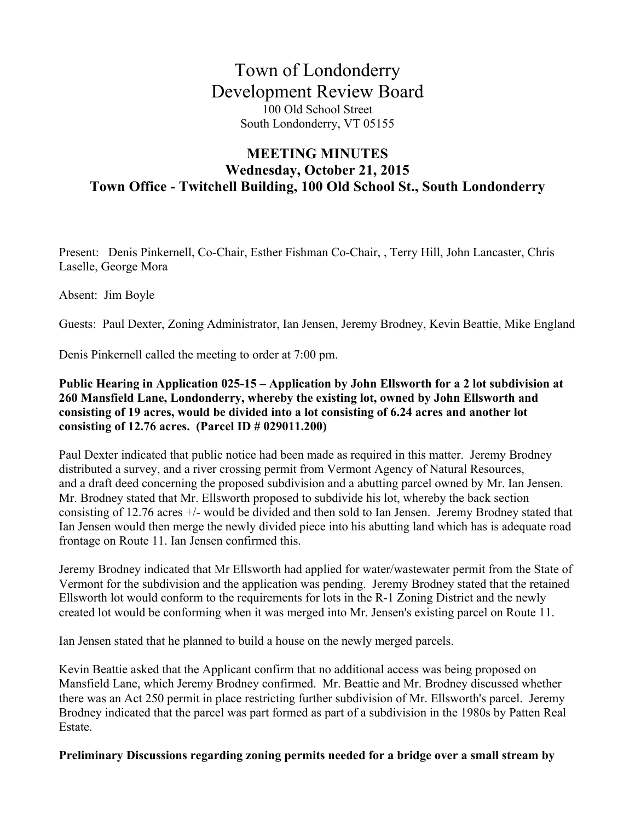# Town of Londonderry Development Review Board 100 Old School Street South Londonderry, VT 05155

## **MEETING MINUTES Wednesday, October 21, 2015 Town Office - Twitchell Building, 100 Old School St., South Londonderry**

Present: Denis Pinkernell, Co-Chair, Esther Fishman Co-Chair, , Terry Hill, John Lancaster, Chris Laselle, George Mora

Absent: Jim Boyle

Guests: Paul Dexter, Zoning Administrator, Ian Jensen, Jeremy Brodney, Kevin Beattie, Mike England

Denis Pinkernell called the meeting to order at 7:00 pm.

#### **Public Hearing in Application 025-15 – Application by John Ellsworth for a 2 lot subdivision at 260 Mansfield Lane, Londonderry, whereby the existing lot, owned by John Ellsworth and consisting of 19 acres, would be divided into a lot consisting of 6.24 acres and another lot consisting of 12.76 acres. (Parcel ID # 029011.200)**

Paul Dexter indicated that public notice had been made as required in this matter. Jeremy Brodney distributed a survey, and a river crossing permit from Vermont Agency of Natural Resources, and a draft deed concerning the proposed subdivision and a abutting parcel owned by Mr. Ian Jensen. Mr. Brodney stated that Mr. Ellsworth proposed to subdivide his lot, whereby the back section consisting of 12.76 acres +/- would be divided and then sold to Ian Jensen. Jeremy Brodney stated that Ian Jensen would then merge the newly divided piece into his abutting land which has is adequate road frontage on Route 11. Ian Jensen confirmed this.

Jeremy Brodney indicated that Mr Ellsworth had applied for water/wastewater permit from the State of Vermont for the subdivision and the application was pending. Jeremy Brodney stated that the retained Ellsworth lot would conform to the requirements for lots in the R-1 Zoning District and the newly created lot would be conforming when it was merged into Mr. Jensen's existing parcel on Route 11.

Ian Jensen stated that he planned to build a house on the newly merged parcels.

Kevin Beattie asked that the Applicant confirm that no additional access was being proposed on Mansfield Lane, which Jeremy Brodney confirmed. Mr. Beattie and Mr. Brodney discussed whether there was an Act 250 permit in place restricting further subdivision of Mr. Ellsworth's parcel. Jeremy Brodney indicated that the parcel was part formed as part of a subdivision in the 1980s by Patten Real Estate.

### **Preliminary Discussions regarding zoning permits needed for a bridge over a small stream by**